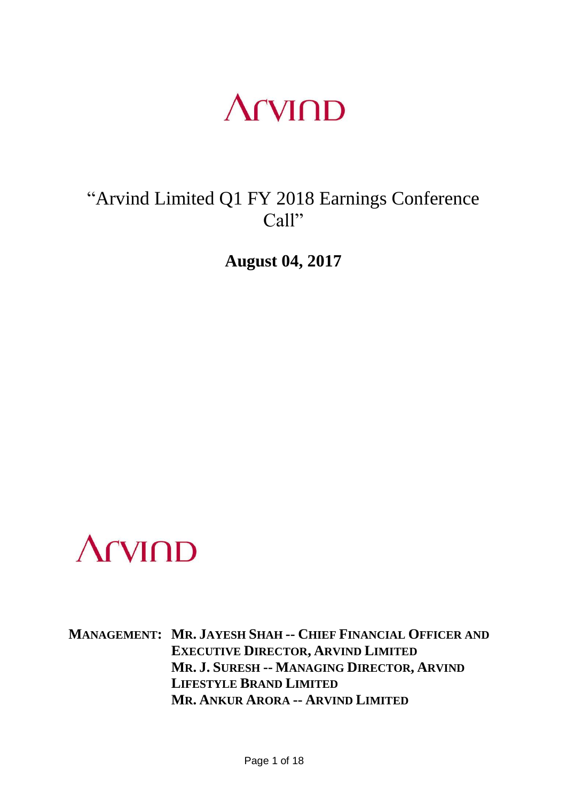### **Arvind**

### "Arvind Limited Q1 FY 2018 Earnings Conference Call"

**August 04, 2017**



**MANAGEMENT: MR. JAYESH SHAH -- CHIEF FINANCIAL OFFICER AND EXECUTIVE DIRECTOR, ARVIND LIMITED MR. J. SURESH -- MANAGING DIRECTOR, ARVIND LIFESTYLE BRAND LIMITED MR. ANKUR ARORA -- ARVIND LIMITED**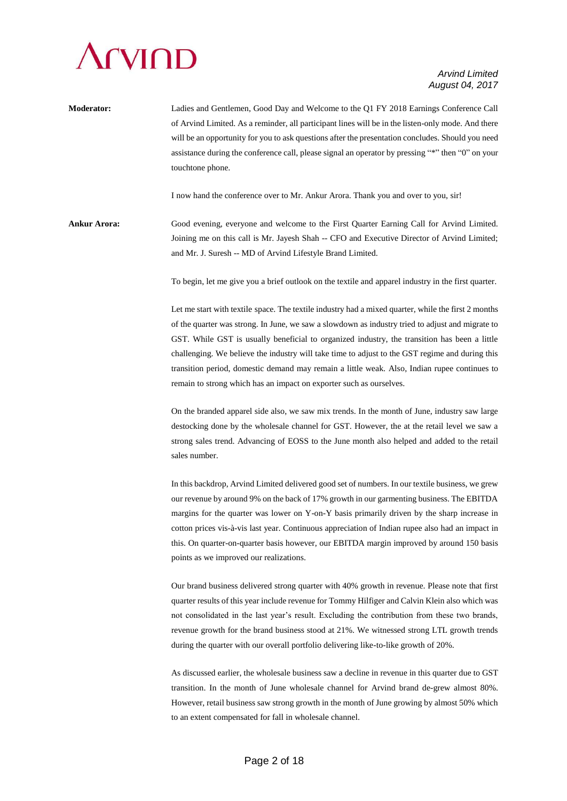

**Moderator:** Ladies and Gentlemen, Good Day and Welcome to the Q1 FY 2018 Earnings Conference Call of Arvind Limited. As a reminder, all participant lines will be in the listen-only mode. And there will be an opportunity for you to ask questions after the presentation concludes. Should you need assistance during the conference call, please signal an operator by pressing "\*" then "0" on your touchtone phone.

I now hand the conference over to Mr. Ankur Arora. Thank you and over to you, sir!

**Ankur Arora:** Good evening, everyone and welcome to the First Quarter Earning Call for Arvind Limited. Joining me on this call is Mr. Jayesh Shah -- CFO and Executive Director of Arvind Limited; and Mr. J. Suresh -- MD of Arvind Lifestyle Brand Limited.

To begin, let me give you a brief outlook on the textile and apparel industry in the first quarter.

Let me start with textile space. The textile industry had a mixed quarter, while the first 2 months of the quarter was strong. In June, we saw a slowdown as industry tried to adjust and migrate to GST. While GST is usually beneficial to organized industry, the transition has been a little challenging. We believe the industry will take time to adjust to the GST regime and during this transition period, domestic demand may remain a little weak. Also, Indian rupee continues to remain to strong which has an impact on exporter such as ourselves.

On the branded apparel side also, we saw mix trends. In the month of June, industry saw large destocking done by the wholesale channel for GST. However, the at the retail level we saw a strong sales trend. Advancing of EOSS to the June month also helped and added to the retail sales number.

In this backdrop, Arvind Limited delivered good set of numbers. In our textile business, we grew our revenue by around 9% on the back of 17% growth in our garmenting business. The EBITDA margins for the quarter was lower on Y-on-Y basis primarily driven by the sharp increase in cotton prices vis-à-vis last year. Continuous appreciation of Indian rupee also had an impact in this. On quarter-on-quarter basis however, our EBITDA margin improved by around 150 basis points as we improved our realizations.

Our brand business delivered strong quarter with 40% growth in revenue. Please note that first quarter results of this year include revenue for Tommy Hilfiger and Calvin Klein also which was not consolidated in the last year's result. Excluding the contribution from these two brands, revenue growth for the brand business stood at 21%. We witnessed strong LTL growth trends during the quarter with our overall portfolio delivering like-to-like growth of 20%.

As discussed earlier, the wholesale business saw a decline in revenue in this quarter due to GST transition. In the month of June wholesale channel for Arvind brand de-grew almost 80%. However, retail business saw strong growth in the month of June growing by almost 50% which to an extent compensated for fall in wholesale channel.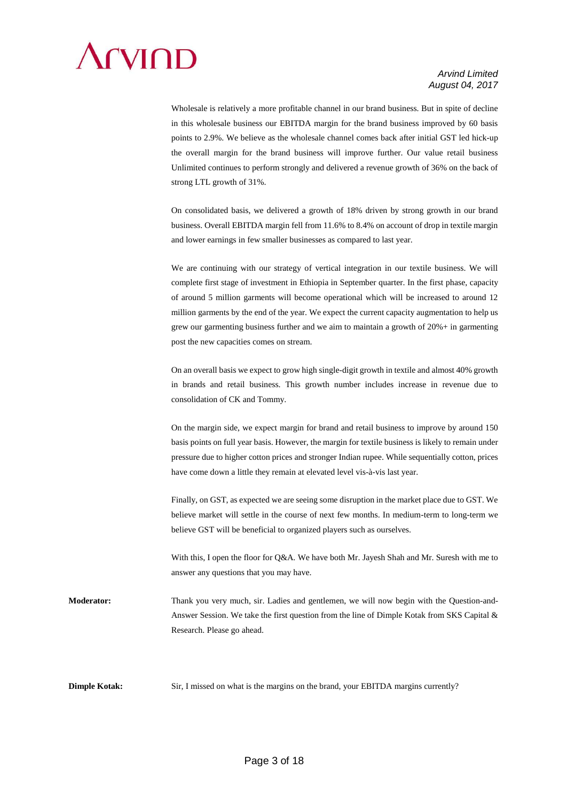

Wholesale is relatively a more profitable channel in our brand business. But in spite of decline in this wholesale business our EBITDA margin for the brand business improved by 60 basis points to 2.9%. We believe as the wholesale channel comes back after initial GST led hick-up the overall margin for the brand business will improve further. Our value retail business Unlimited continues to perform strongly and delivered a revenue growth of 36% on the back of strong LTL growth of 31%.

On consolidated basis, we delivered a growth of 18% driven by strong growth in our brand business. Overall EBITDA margin fell from 11.6% to 8.4% on account of drop in textile margin and lower earnings in few smaller businesses as compared to last year.

We are continuing with our strategy of vertical integration in our textile business. We will complete first stage of investment in Ethiopia in September quarter. In the first phase, capacity of around 5 million garments will become operational which will be increased to around 12 million garments by the end of the year. We expect the current capacity augmentation to help us grew our garmenting business further and we aim to maintain a growth of 20%+ in garmenting post the new capacities comes on stream.

On an overall basis we expect to grow high single-digit growth in textile and almost 40% growth in brands and retail business. This growth number includes increase in revenue due to consolidation of CK and Tommy.

On the margin side, we expect margin for brand and retail business to improve by around 150 basis points on full year basis. However, the margin for textile business is likely to remain under pressure due to higher cotton prices and stronger Indian rupee. While sequentially cotton, prices have come down a little they remain at elevated level vis-à-vis last year.

Finally, on GST, as expected we are seeing some disruption in the market place due to GST. We believe market will settle in the course of next few months. In medium-term to long-term we believe GST will be beneficial to organized players such as ourselves.

With this, I open the floor for Q&A. We have both Mr. Jayesh Shah and Mr. Suresh with me to answer any questions that you may have.

**Moderator:** Thank you very much, sir. Ladies and gentlemen, we will now begin with the Question-and-Answer Session. We take the first question from the line of Dimple Kotak from SKS Capital & Research. Please go ahead.

**Dimple Kotak:** Sir, I missed on what is the margins on the brand, your EBITDA margins currently?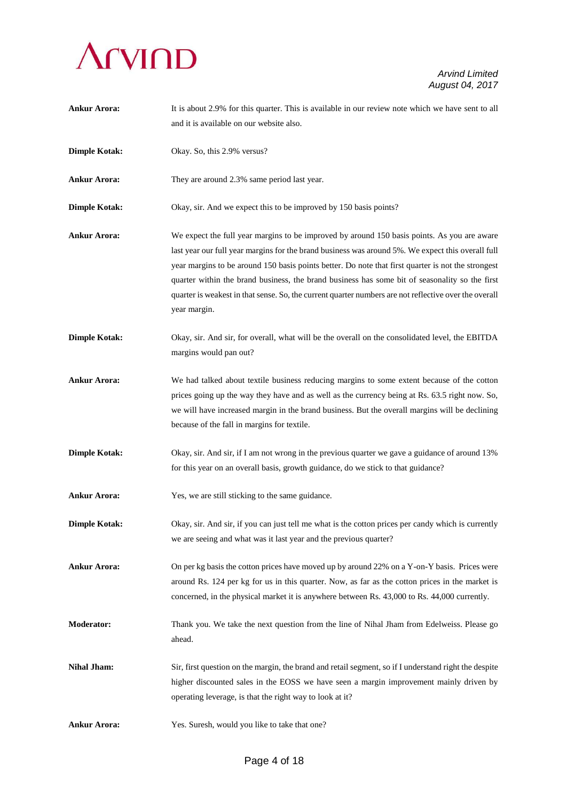

**Ankur Arora:** It is about 2.9% for this quarter. This is available in our review note which we have sent to all and it is available on our website also. **Dimple Kotak:** Okay. So, this 2.9% versus? Ankur Arora: They are around 2.3% same period last year. **Dimple Kotak:** Okay, sir. And we expect this to be improved by 150 basis points? **Ankur Arora:** We expect the full year margins to be improved by around 150 basis points. As you are aware last year our full year margins for the brand business was around 5%. We expect this overall full year margins to be around 150 basis points better. Do note that first quarter is not the strongest quarter within the brand business, the brand business has some bit of seasonality so the first quarter is weakest in that sense. So, the current quarter numbers are not reflective over the overall year margin. **Dimple Kotak:** Okay, sir. And sir, for overall, what will be the overall on the consolidated level, the EBITDA margins would pan out? **Ankur Arora:** We had talked about textile business reducing margins to some extent because of the cotton prices going up the way they have and as well as the currency being at Rs. 63.5 right now. So, we will have increased margin in the brand business. But the overall margins will be declining because of the fall in margins for textile. **Dimple Kotak:** Okay, sir. And sir, if I am not wrong in the previous quarter we gave a guidance of around 13% for this year on an overall basis, growth guidance, do we stick to that guidance? Ankur Arora: Yes, we are still sticking to the same guidance. **Dimple Kotak:** Okay, sir. And sir, if you can just tell me what is the cotton prices per candy which is currently we are seeing and what was it last year and the previous quarter? Ankur Arora: On per kg basis the cotton prices have moved up by around 22% on a Y-on-Y basis. Prices were around Rs. 124 per kg for us in this quarter. Now, as far as the cotton prices in the market is concerned, in the physical market it is anywhere between Rs. 43,000 to Rs. 44,000 currently. **Moderator:** Thank you. We take the next question from the line of Nihal Jham from Edelweiss. Please go ahead. **Nihal Jham:** Sir, first question on the margin, the brand and retail segment, so if I understand right the despite higher discounted sales in the EOSS we have seen a margin improvement mainly driven by operating leverage, is that the right way to look at it? Ankur Arora: Yes. Suresh, would you like to take that one?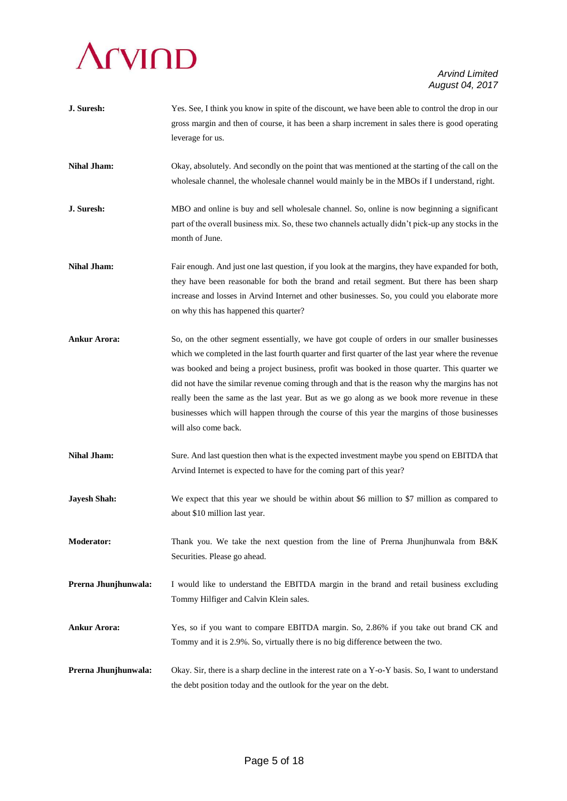# **Arvind**

| J. Suresh:           | Yes. See, I think you know in spite of the discount, we have been able to control the drop in our<br>gross margin and then of course, it has been a sharp increment in sales there is good operating<br>leverage for us.                                                                                                                                                                                                                                                                                                                                                                                                   |
|----------------------|----------------------------------------------------------------------------------------------------------------------------------------------------------------------------------------------------------------------------------------------------------------------------------------------------------------------------------------------------------------------------------------------------------------------------------------------------------------------------------------------------------------------------------------------------------------------------------------------------------------------------|
| <b>Nihal Jham:</b>   | Okay, absolutely. And secondly on the point that was mentioned at the starting of the call on the<br>wholesale channel, the wholesale channel would mainly be in the MBOs if I understand, right.                                                                                                                                                                                                                                                                                                                                                                                                                          |
| J. Suresh:           | MBO and online is buy and sell wholesale channel. So, online is now beginning a significant<br>part of the overall business mix. So, these two channels actually didn't pick-up any stocks in the<br>month of June.                                                                                                                                                                                                                                                                                                                                                                                                        |
| <b>Nihal Jham:</b>   | Fair enough. And just one last question, if you look at the margins, they have expanded for both,<br>they have been reasonable for both the brand and retail segment. But there has been sharp<br>increase and losses in Arvind Internet and other businesses. So, you could you elaborate more<br>on why this has happened this quarter?                                                                                                                                                                                                                                                                                  |
| <b>Ankur Arora:</b>  | So, on the other segment essentially, we have got couple of orders in our smaller businesses<br>which we completed in the last fourth quarter and first quarter of the last year where the revenue<br>was booked and being a project business, profit was booked in those quarter. This quarter we<br>did not have the similar revenue coming through and that is the reason why the margins has not<br>really been the same as the last year. But as we go along as we book more revenue in these<br>businesses which will happen through the course of this year the margins of those businesses<br>will also come back. |
| <b>Nihal Jham:</b>   | Sure. And last question then what is the expected investment maybe you spend on EBITDA that<br>Arvind Internet is expected to have for the coming part of this year?                                                                                                                                                                                                                                                                                                                                                                                                                                                       |
| <b>Jayesh Shah:</b>  | We expect that this year we should be within about \$6 million to \$7 million as compared to<br>about \$10 million last year.                                                                                                                                                                                                                                                                                                                                                                                                                                                                                              |
| <b>Moderator:</b>    | Thank you. We take the next question from the line of Prerna Jhunjhunwala from B&K<br>Securities. Please go ahead.                                                                                                                                                                                                                                                                                                                                                                                                                                                                                                         |
| Prerna Jhunjhunwala: | I would like to understand the EBITDA margin in the brand and retail business excluding<br>Tommy Hilfiger and Calvin Klein sales.                                                                                                                                                                                                                                                                                                                                                                                                                                                                                          |
| <b>Ankur Arora:</b>  | Yes, so if you want to compare EBITDA margin. So, 2.86% if you take out brand CK and<br>Tommy and it is 2.9%. So, virtually there is no big difference between the two.                                                                                                                                                                                                                                                                                                                                                                                                                                                    |
| Prerna Jhunjhunwala: | Okay. Sir, there is a sharp decline in the interest rate on a Y-o-Y basis. So, I want to understand<br>the debt position today and the outlook for the year on the debt.                                                                                                                                                                                                                                                                                                                                                                                                                                                   |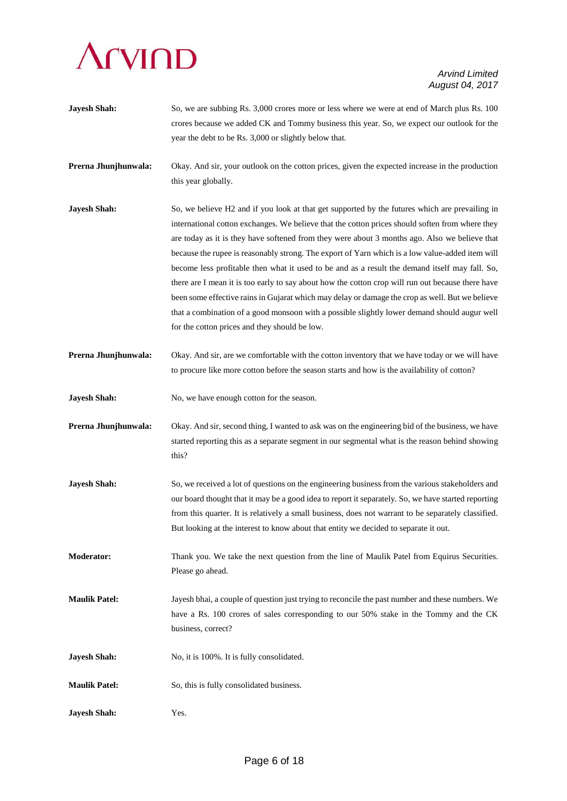

crores because we added CK and Tommy business this year. So, we expect our outlook for the year the debt to be Rs. 3,000 or slightly below that. **Prerna Jhunjhunwala:** Okay. And sir, your outlook on the cotton prices, given the expected increase in the production this year globally. **Jayesh Shah:** So, we believe H2 and if you look at that get supported by the futures which are prevailing in international cotton exchanges. We believe that the cotton prices should soften from where they are today as it is they have softened from they were about 3 months ago. Also we believe that because the rupee is reasonably strong. The export of Yarn which is a low value-added item will become less profitable then what it used to be and as a result the demand itself may fall. So, there are I mean it is too early to say about how the cotton crop will run out because there have been some effective rains in Gujarat which may delay or damage the crop as well. But we believe that a combination of a good monsoon with a possible slightly lower demand should augur well for the cotton prices and they should be low. **Prerna Jhunjhunwala:** Okay. And sir, are we comfortable with the cotton inventory that we have today or we will have to procure like more cotton before the season starts and how is the availability of cotton? **Jayesh Shah:** No, we have enough cotton for the season. **Prerna Jhunjhunwala:** Okay. And sir, second thing, I wanted to ask was on the engineering bid of the business, we have started reporting this as a separate segment in our segmental what is the reason behind showing this? **Jayesh Shah:** So, we received a lot of questions on the engineering business from the various stakeholders and our board thought that it may be a good idea to report it separately. So, we have started reporting from this quarter. It is relatively a small business, does not warrant to be separately classified. But looking at the interest to know about that entity we decided to separate it out. **Moderator:** Thank you. We take the next question from the line of Maulik Patel from Equirus Securities. Please go ahead. **Maulik Patel:** Jayesh bhai, a couple of question just trying to reconcile the past number and these numbers. We have a Rs. 100 crores of sales corresponding to our 50% stake in the Tommy and the CK business, correct? **Jayesh Shah:** No, it is 100%. It is fully consolidated. **Maulik Patel:** So, this is fully consolidated business.

**Jayesh Shah:** So, we are subbing Rs. 3,000 crores more or less where we were at end of March plus Rs. 100

**Jayesh Shah:** Yes.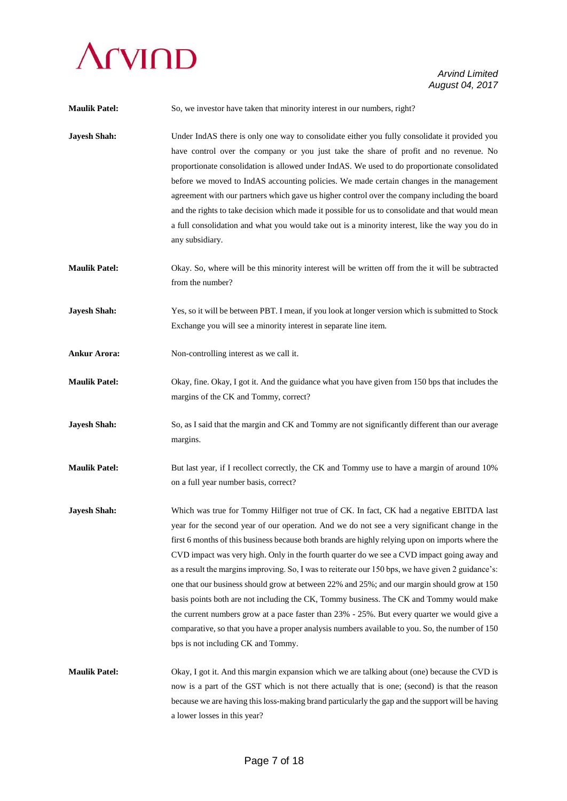

| <b>Maulik Patel:</b> | So, we investor have taken that minority interest in our numbers, right?                                                                                                                                                                                                                                                                                                                                                                                                                                                                                                                                                                                                                                                                                                                                                                                                                                                            |
|----------------------|-------------------------------------------------------------------------------------------------------------------------------------------------------------------------------------------------------------------------------------------------------------------------------------------------------------------------------------------------------------------------------------------------------------------------------------------------------------------------------------------------------------------------------------------------------------------------------------------------------------------------------------------------------------------------------------------------------------------------------------------------------------------------------------------------------------------------------------------------------------------------------------------------------------------------------------|
| <b>Jayesh Shah:</b>  | Under IndAS there is only one way to consolidate either you fully consolidate it provided you<br>have control over the company or you just take the share of profit and no revenue. No<br>proportionate consolidation is allowed under IndAS. We used to do proportionate consolidated<br>before we moved to IndAS accounting policies. We made certain changes in the management<br>agreement with our partners which gave us higher control over the company including the board<br>and the rights to take decision which made it possible for us to consolidate and that would mean<br>a full consolidation and what you would take out is a minority interest, like the way you do in<br>any subsidiary.                                                                                                                                                                                                                        |
| <b>Maulik Patel:</b> | Okay. So, where will be this minority interest will be written off from the it will be subtracted<br>from the number?                                                                                                                                                                                                                                                                                                                                                                                                                                                                                                                                                                                                                                                                                                                                                                                                               |
| <b>Jayesh Shah:</b>  | Yes, so it will be between PBT. I mean, if you look at longer version which is submitted to Stock<br>Exchange you will see a minority interest in separate line item.                                                                                                                                                                                                                                                                                                                                                                                                                                                                                                                                                                                                                                                                                                                                                               |
| <b>Ankur Arora:</b>  | Non-controlling interest as we call it.                                                                                                                                                                                                                                                                                                                                                                                                                                                                                                                                                                                                                                                                                                                                                                                                                                                                                             |
| <b>Maulik Patel:</b> | Okay, fine. Okay, I got it. And the guidance what you have given from 150 bps that includes the<br>margins of the CK and Tommy, correct?                                                                                                                                                                                                                                                                                                                                                                                                                                                                                                                                                                                                                                                                                                                                                                                            |
| <b>Jayesh Shah:</b>  | So, as I said that the margin and CK and Tommy are not significantly different than our average<br>margins.                                                                                                                                                                                                                                                                                                                                                                                                                                                                                                                                                                                                                                                                                                                                                                                                                         |
| <b>Maulik Patel:</b> | But last year, if I recollect correctly, the CK and Tommy use to have a margin of around 10%<br>on a full year number basis, correct?                                                                                                                                                                                                                                                                                                                                                                                                                                                                                                                                                                                                                                                                                                                                                                                               |
| <b>Jayesh Shah:</b>  | Which was true for Tommy Hilfiger not true of CK. In fact, CK had a negative EBITDA last<br>year for the second year of our operation. And we do not see a very significant change in the<br>first 6 months of this business because both brands are highly relying upon on imports where the<br>CVD impact was very high. Only in the fourth quarter do we see a CVD impact going away and<br>as a result the margins improving. So, I was to reiterate our 150 bps, we have given 2 guidance's:<br>one that our business should grow at between 22% and 25%; and our margin should grow at 150<br>basis points both are not including the CK, Tommy business. The CK and Tommy would make<br>the current numbers grow at a pace faster than 23% - 25%. But every quarter we would give a<br>comparative, so that you have a proper analysis numbers available to you. So, the number of 150<br>bps is not including CK and Tommy. |
| <b>Maulik Patel:</b> | Okay, I got it. And this margin expansion which we are talking about (one) because the CVD is<br>now is a part of the GST which is not there actually that is one; (second) is that the reason<br>because we are having this loss-making brand particularly the gap and the support will be having<br>a lower losses in this year?                                                                                                                                                                                                                                                                                                                                                                                                                                                                                                                                                                                                  |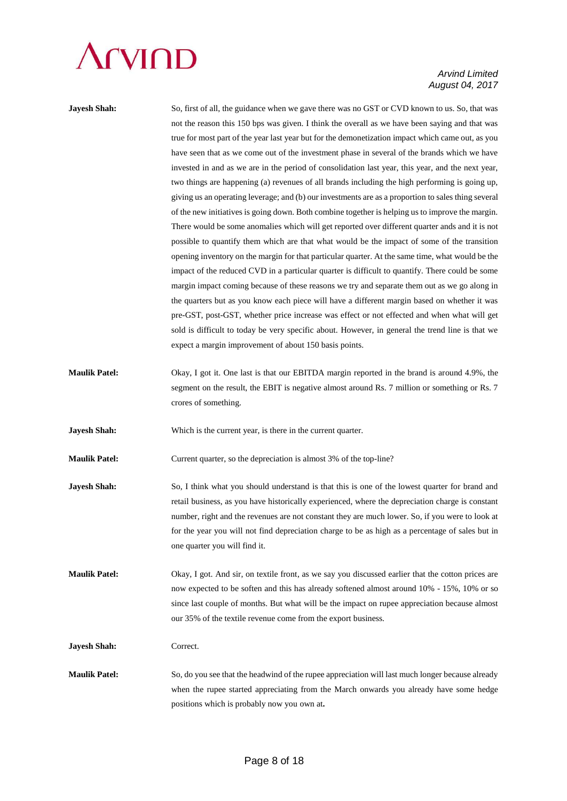

| <b>Jayesh Shah:</b>  | So, first of all, the guidance when we gave there was no GST or CVD known to us. So, that was       |
|----------------------|-----------------------------------------------------------------------------------------------------|
|                      | not the reason this 150 bps was given. I think the overall as we have been saying and that was      |
|                      | true for most part of the year last year but for the demonetization impact which came out, as you   |
|                      | have seen that as we come out of the investment phase in several of the brands which we have        |
|                      | invested in and as we are in the period of consolidation last year, this year, and the next year,   |
|                      | two things are happening (a) revenues of all brands including the high performing is going up,      |
|                      | giving us an operating leverage; and (b) our investments are as a proportion to sales thing several |
|                      | of the new initiatives is going down. Both combine together is helping us to improve the margin.    |
|                      | There would be some anomalies which will get reported over different quarter ands and it is not     |
|                      | possible to quantify them which are that what would be the impact of some of the transition         |
|                      | opening inventory on the margin for that particular quarter. At the same time, what would be the    |
|                      | impact of the reduced CVD in a particular quarter is difficult to quantify. There could be some     |
|                      | margin impact coming because of these reasons we try and separate them out as we go along in        |
|                      | the quarters but as you know each piece will have a different margin based on whether it was        |
|                      | pre-GST, post-GST, whether price increase was effect or not effected and when what will get         |
|                      | sold is difficult to today be very specific about. However, in general the trend line is that we    |
|                      | expect a margin improvement of about 150 basis points.                                              |
|                      |                                                                                                     |
| <b>Maulik Patel:</b> | Okay, I got it. One last is that our EBITDA margin reported in the brand is around 4.9%, the        |
|                      | segment on the result, the EBIT is negative almost around Rs. 7 million or something or Rs. 7       |
|                      | crores of something.                                                                                |

**Jayesh Shah:** Which is the current year, is there in the current quarter.

**Maulik Patel:** Current quarter, so the depreciation is almost 3% of the top-line?

- **Jayesh Shah:** So, I think what you should understand is that this is one of the lowest quarter for brand and retail business, as you have historically experienced, where the depreciation charge is constant number, right and the revenues are not constant they are much lower. So, if you were to look at for the year you will not find depreciation charge to be as high as a percentage of sales but in one quarter you will find it.
- **Maulik Patel:** Okay, I got. And sir, on textile front, as we say you discussed earlier that the cotton prices are now expected to be soften and this has already softened almost around 10% - 15%, 10% or so since last couple of months. But what will be the impact on rupee appreciation because almost our 35% of the textile revenue come from the export business.

**Jayesh Shah:** Correct.

**Maulik Patel:** So, do you see that the headwind of the rupee appreciation will last much longer because already when the rupee started appreciating from the March onwards you already have some hedge positions which is probably now you own at**.**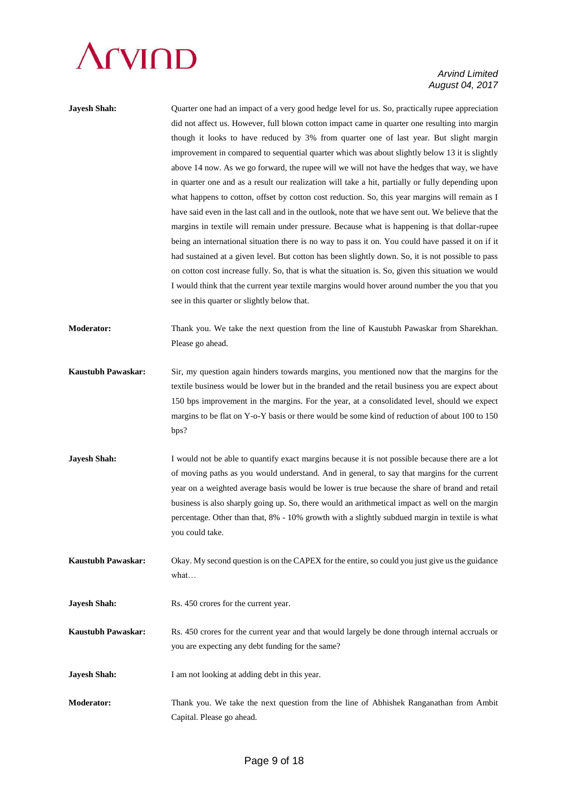### **Arvind**

| <b>Jayesh Shah:</b>       | Quarter one had an impact of a very good hedge level for us. So, practically rupee appreciation<br>did not affect us. However, full blown cotton impact came in quarter one resulting into margin<br>though it looks to have reduced by 3% from quarter one of last year. But slight margin<br>improvement in compared to sequential quarter which was about slightly below 13 it is slightly<br>above 14 now. As we go forward, the rupee will we will not have the hedges that way, we have<br>in quarter one and as a result our realization will take a hit, partially or fully depending upon<br>what happens to cotton, offset by cotton cost reduction. So, this year margins will remain as I<br>have said even in the last call and in the outlook, note that we have sent out. We believe that the<br>margins in textile will remain under pressure. Because what is happening is that dollar-rupee<br>being an international situation there is no way to pass it on. You could have passed it on if it<br>had sustained at a given level. But cotton has been slightly down. So, it is not possible to pass<br>on cotton cost increase fully. So, that is what the situation is. So, given this situation we would<br>I would think that the current year textile margins would hover around number the you that you<br>see in this quarter or slightly below that. |
|---------------------------|---------------------------------------------------------------------------------------------------------------------------------------------------------------------------------------------------------------------------------------------------------------------------------------------------------------------------------------------------------------------------------------------------------------------------------------------------------------------------------------------------------------------------------------------------------------------------------------------------------------------------------------------------------------------------------------------------------------------------------------------------------------------------------------------------------------------------------------------------------------------------------------------------------------------------------------------------------------------------------------------------------------------------------------------------------------------------------------------------------------------------------------------------------------------------------------------------------------------------------------------------------------------------------------------------------------------------------------------------------------------------------|
| <b>Moderator:</b>         | Thank you. We take the next question from the line of Kaustubh Pawaskar from Sharekhan.<br>Please go ahead.                                                                                                                                                                                                                                                                                                                                                                                                                                                                                                                                                                                                                                                                                                                                                                                                                                                                                                                                                                                                                                                                                                                                                                                                                                                                     |
| <b>Kaustubh Pawaskar:</b> | Sir, my question again hinders towards margins, you mentioned now that the margins for the<br>textile business would be lower but in the branded and the retail business you are expect about<br>150 bps improvement in the margins. For the year, at a consolidated level, should we expect<br>margins to be flat on Y-o-Y basis or there would be some kind of reduction of about 100 to 150<br>bps?                                                                                                                                                                                                                                                                                                                                                                                                                                                                                                                                                                                                                                                                                                                                                                                                                                                                                                                                                                          |
| <b>Jayesh Shah:</b>       | I would not be able to quantify exact margins because it is not possible because there are a lot<br>of moving paths as you would understand. And in general, to say that margins for the current<br>year on a weighted average basis would be lower is true because the share of brand and retail<br>business is also sharply going up. So, there would an arithmetical impact as well on the margin<br>percentage. Other than that, 8% - 10% growth with a slightly subdued margin in textile is what<br>you could take.                                                                                                                                                                                                                                                                                                                                                                                                                                                                                                                                                                                                                                                                                                                                                                                                                                                       |
| Kaustubh Pawaskar:        | Okay. My second question is on the CAPEX for the entire, so could you just give us the guidance<br>what                                                                                                                                                                                                                                                                                                                                                                                                                                                                                                                                                                                                                                                                                                                                                                                                                                                                                                                                                                                                                                                                                                                                                                                                                                                                         |
| <b>Jayesh Shah:</b>       | Rs. 450 crores for the current year.                                                                                                                                                                                                                                                                                                                                                                                                                                                                                                                                                                                                                                                                                                                                                                                                                                                                                                                                                                                                                                                                                                                                                                                                                                                                                                                                            |
| <b>Kaustubh Pawaskar:</b> | Rs. 450 crores for the current year and that would largely be done through internal accruals or<br>you are expecting any debt funding for the same?                                                                                                                                                                                                                                                                                                                                                                                                                                                                                                                                                                                                                                                                                                                                                                                                                                                                                                                                                                                                                                                                                                                                                                                                                             |
| <b>Jayesh Shah:</b>       | I am not looking at adding debt in this year.                                                                                                                                                                                                                                                                                                                                                                                                                                                                                                                                                                                                                                                                                                                                                                                                                                                                                                                                                                                                                                                                                                                                                                                                                                                                                                                                   |
| <b>Moderator:</b>         | Thank you. We take the next question from the line of Abhishek Ranganathan from Ambit<br>Capital. Please go ahead.                                                                                                                                                                                                                                                                                                                                                                                                                                                                                                                                                                                                                                                                                                                                                                                                                                                                                                                                                                                                                                                                                                                                                                                                                                                              |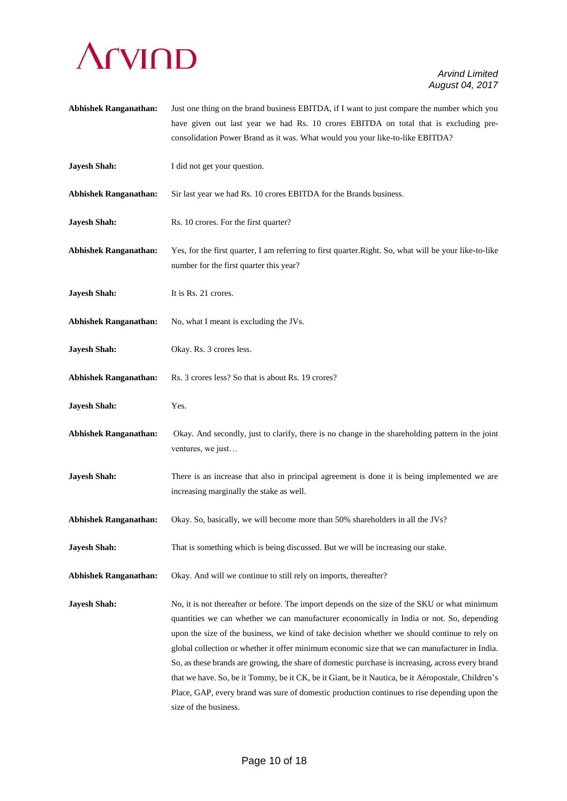

**Abhishek Ranganathan:** Just one thing on the brand business EBITDA, if I want to just compare the number which you have given out last year we had Rs. 10 crores EBITDA on total that is excluding preconsolidation Power Brand as it was. What would you your like-to-like EBITDA? **Jayesh Shah:** I did not get your question. **Abhishek Ranganathan:** Sir last year we had Rs. 10 crores EBITDA for the Brands business. **Jayesh Shah:** Rs. 10 crores. For the first quarter? **Abhishek Ranganathan:** Yes, for the first quarter, I am referring to first quarter.Right. So, what will be your like-to-like number for the first quarter this year? **Jayesh Shah:** It is Rs. 21 crores. **Abhishek Ranganathan:** No, what I meant is excluding the JVs. **Jayesh Shah:** Okay. Rs. 3 crores less. **Abhishek Ranganathan:** Rs. 3 crores less? So that is about Rs. 19 crores? **Jayesh Shah:** Yes. **Abhishek Ranganathan:** Okay. And secondly, just to clarify, there is no change in the shareholding pattern in the joint ventures, we just… **Jayesh Shah:** There is an increase that also in principal agreement is done it is being implemented we are increasing marginally the stake as well. **Abhishek Ranganathan:** Okay. So, basically, we will become more than 50% shareholders in all the JVs? **Jayesh Shah:** That is something which is being discussed. But we will be increasing our stake. **Abhishek Ranganathan:** Okay. And will we continue to still rely on imports, thereafter? **Jayesh Shah:** No, it is not thereafter or before. The import depends on the size of the SKU or what minimum quantities we can whether we can manufacturer economically in India or not. So, depending upon the size of the business, we kind of take decision whether we should continue to rely on global collection or whether it offer minimum economic size that we can manufacturer in India. So, as these brands are growing, the share of domestic purchase is increasing, across every brand that we have. So, be it Tommy, be it CK, be it Giant, be it Nautica, be it Aéropostale, Children's Place, GAP, every brand was sure of domestic production continues to rise depending upon the

size of the business.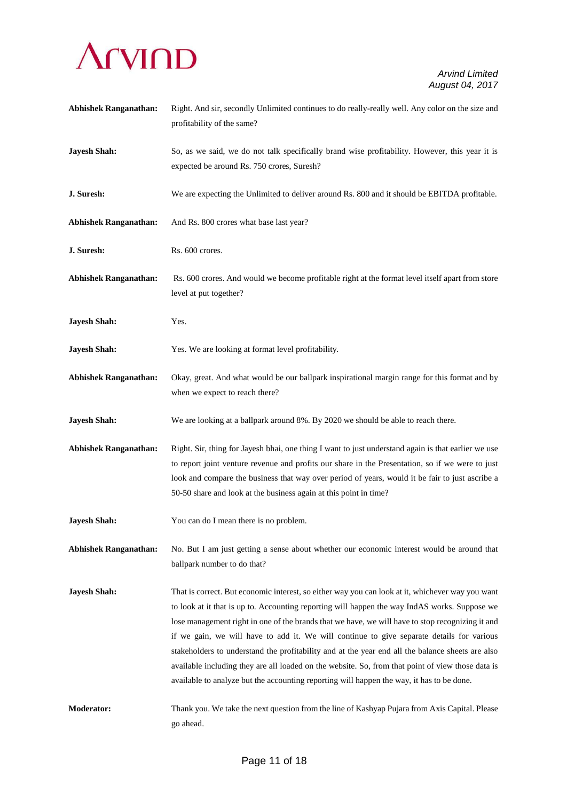

| <b>Abhishek Ranganathan:</b> | Right. And sir, secondly Unlimited continues to do really-really well. Any color on the size and<br>profitability of the same?                                                                                                                                                                                                                                                                                                                                                                                                                                                                                                                                                                           |
|------------------------------|----------------------------------------------------------------------------------------------------------------------------------------------------------------------------------------------------------------------------------------------------------------------------------------------------------------------------------------------------------------------------------------------------------------------------------------------------------------------------------------------------------------------------------------------------------------------------------------------------------------------------------------------------------------------------------------------------------|
| <b>Jayesh Shah:</b>          | So, as we said, we do not talk specifically brand wise profitability. However, this year it is<br>expected be around Rs. 750 crores, Suresh?                                                                                                                                                                                                                                                                                                                                                                                                                                                                                                                                                             |
| J. Suresh:                   | We are expecting the Unlimited to deliver around Rs. 800 and it should be EBITDA profitable.                                                                                                                                                                                                                                                                                                                                                                                                                                                                                                                                                                                                             |
| <b>Abhishek Ranganathan:</b> | And Rs. 800 crores what base last year?                                                                                                                                                                                                                                                                                                                                                                                                                                                                                                                                                                                                                                                                  |
| J. Suresh:                   | Rs. 600 crores.                                                                                                                                                                                                                                                                                                                                                                                                                                                                                                                                                                                                                                                                                          |
| <b>Abhishek Ranganathan:</b> | Rs. 600 crores. And would we become profitable right at the format level itself apart from store<br>level at put together?                                                                                                                                                                                                                                                                                                                                                                                                                                                                                                                                                                               |
| <b>Jayesh Shah:</b>          | Yes.                                                                                                                                                                                                                                                                                                                                                                                                                                                                                                                                                                                                                                                                                                     |
| <b>Jayesh Shah:</b>          | Yes. We are looking at format level profitability.                                                                                                                                                                                                                                                                                                                                                                                                                                                                                                                                                                                                                                                       |
| <b>Abhishek Ranganathan:</b> | Okay, great. And what would be our ballpark inspirational margin range for this format and by<br>when we expect to reach there?                                                                                                                                                                                                                                                                                                                                                                                                                                                                                                                                                                          |
| <b>Jayesh Shah:</b>          | We are looking at a ballpark around 8%. By 2020 we should be able to reach there.                                                                                                                                                                                                                                                                                                                                                                                                                                                                                                                                                                                                                        |
| <b>Abhishek Ranganathan:</b> | Right. Sir, thing for Jayesh bhai, one thing I want to just understand again is that earlier we use<br>to report joint venture revenue and profits our share in the Presentation, so if we were to just<br>look and compare the business that way over period of years, would it be fair to just ascribe a<br>50-50 share and look at the business again at this point in time?                                                                                                                                                                                                                                                                                                                          |
| <b>Jayesh Shah:</b>          | You can do I mean there is no problem.                                                                                                                                                                                                                                                                                                                                                                                                                                                                                                                                                                                                                                                                   |
| <b>Abhishek Ranganathan:</b> | No. But I am just getting a sense about whether our economic interest would be around that<br>ballpark number to do that?                                                                                                                                                                                                                                                                                                                                                                                                                                                                                                                                                                                |
| <b>Jayesh Shah:</b>          | That is correct. But economic interest, so either way you can look at it, whichever way you want<br>to look at it that is up to. Accounting reporting will happen the way IndAS works. Suppose we<br>lose management right in one of the brands that we have, we will have to stop recognizing it and<br>if we gain, we will have to add it. We will continue to give separate details for various<br>stakeholders to understand the profitability and at the year end all the balance sheets are also<br>available including they are all loaded on the website. So, from that point of view those data is<br>available to analyze but the accounting reporting will happen the way, it has to be done. |
| <b>Moderator:</b>            | Thank you. We take the next question from the line of Kashyap Pujara from Axis Capital. Please<br>go ahead.                                                                                                                                                                                                                                                                                                                                                                                                                                                                                                                                                                                              |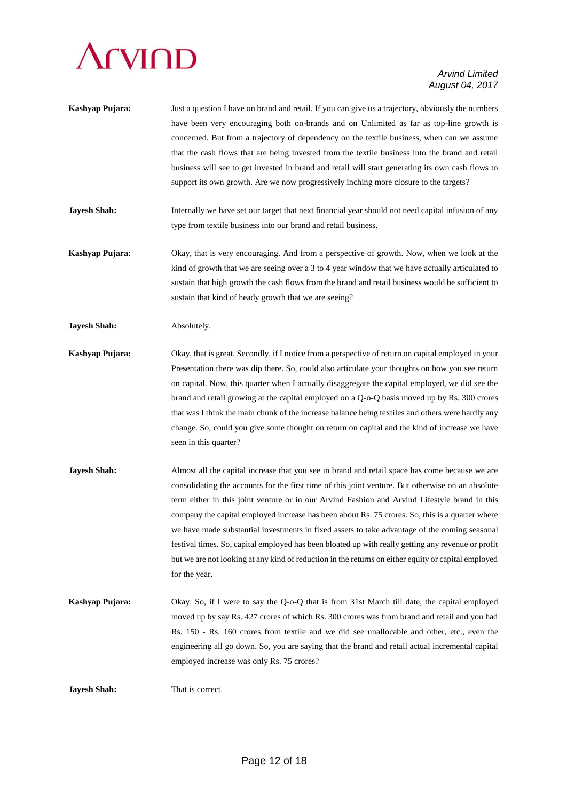### **TVIND**

#### *Arvind Limited August 04, 2017*

- **Kashyap Pujara:** Just a question I have on brand and retail. If you can give us a trajectory, obviously the numbers have been very encouraging both on-brands and on Unlimited as far as top-line growth is concerned. But from a trajectory of dependency on the textile business, when can we assume that the cash flows that are being invested from the textile business into the brand and retail business will see to get invested in brand and retail will start generating its own cash flows to support its own growth. Are we now progressively inching more closure to the targets?
- **Jayesh Shah:** Internally we have set our target that next financial year should not need capital infusion of any type from textile business into our brand and retail business.
- **Kashyap Pujara:** Okay, that is very encouraging. And from a perspective of growth. Now, when we look at the kind of growth that we are seeing over a 3 to 4 year window that we have actually articulated to sustain that high growth the cash flows from the brand and retail business would be sufficient to sustain that kind of heady growth that we are seeing?
- **Jayesh Shah:** Absolutely.
- **Kashyap Pujara:** Okay, that is great. Secondly, if I notice from a perspective of return on capital employed in your Presentation there was dip there. So, could also articulate your thoughts on how you see return on capital. Now, this quarter when I actually disaggregate the capital employed, we did see the brand and retail growing at the capital employed on a Q-o-Q basis moved up by Rs. 300 crores that was I think the main chunk of the increase balance being textiles and others were hardly any change. So, could you give some thought on return on capital and the kind of increase we have seen in this quarter?
- **Jayesh Shah:** Almost all the capital increase that you see in brand and retail space has come because we are consolidating the accounts for the first time of this joint venture. But otherwise on an absolute term either in this joint venture or in our Arvind Fashion and Arvind Lifestyle brand in this company the capital employed increase has been about Rs. 75 crores. So, this is a quarter where we have made substantial investments in fixed assets to take advantage of the coming seasonal festival times. So, capital employed has been bloated up with really getting any revenue or profit but we are not looking at any kind of reduction in the returns on either equity or capital employed for the year.
- **Kashyap Pujara:** Okay. So, if I were to say the Q-o-Q that is from 31st March till date, the capital employed moved up by say Rs. 427 crores of which Rs. 300 crores was from brand and retail and you had Rs. 150 - Rs. 160 crores from textile and we did see unallocable and other, etc., even the engineering all go down. So, you are saying that the brand and retail actual incremental capital employed increase was only Rs. 75 crores?

**Jayesh Shah:** That is correct.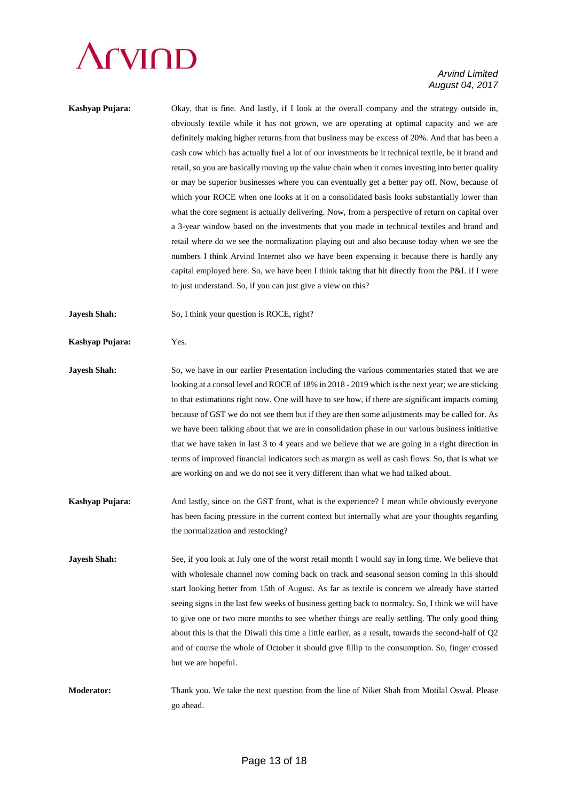### **CVIND**

#### *Arvind Limited August 04, 2017*

| Kashyap Pujara: | Okay, that is fine. And lastly, if I look at the overall company and the strategy outside in,      |
|-----------------|----------------------------------------------------------------------------------------------------|
|                 | obviously textile while it has not grown, we are operating at optimal capacity and we are          |
|                 | definitely making higher returns from that business may be excess of 20%. And that has been a      |
|                 | cash cow which has actually fuel a lot of our investments be it technical textile, be it brand and |
|                 | retail, so you are basically moving up the value chain when it comes investing into better quality |
|                 | or may be superior businesses where you can eventually get a better pay off. Now, because of       |
|                 | which your ROCE when one looks at it on a consolidated basis looks substantially lower than        |
|                 | what the core segment is actually delivering. Now, from a perspective of return on capital over    |
|                 | a 3-year window based on the investments that you made in technical textiles and brand and         |
|                 | retail where do we see the normalization playing out and also because today when we see the        |
|                 | numbers I think Arvind Internet also we have been expensing it because there is hardly any         |
|                 | capital employed here. So, we have been I think taking that hit directly from the P&L if I were    |
|                 | to just understand. So, if you can just give a view on this?                                       |
|                 |                                                                                                    |

**Jayesh Shah:** So, I think your question is ROCE, right?

**Kashyap Pujara:** Yes.

**Jayesh Shah:** So, we have in our earlier Presentation including the various commentaries stated that we are looking at a consol level and ROCE of 18% in 2018 - 2019 which is the next year; we are sticking to that estimations right now. One will have to see how, if there are significant impacts coming because of GST we do not see them but if they are then some adjustments may be called for. As we have been talking about that we are in consolidation phase in our various business initiative that we have taken in last 3 to 4 years and we believe that we are going in a right direction in terms of improved financial indicators such as margin as well as cash flows. So, that is what we are working on and we do not see it very different than what we had talked about.

**Kashyap Pujara:** And lastly, since on the GST front, what is the experience? I mean while obviously everyone has been facing pressure in the current context but internally what are your thoughts regarding the normalization and restocking?

**Jayesh Shah:** See, if you look at July one of the worst retail month I would say in long time. We believe that with wholesale channel now coming back on track and seasonal season coming in this should start looking better from 15th of August. As far as textile is concern we already have started seeing signs in the last few weeks of business getting back to normalcy. So, I think we will have to give one or two more months to see whether things are really settling. The only good thing about this is that the Diwali this time a little earlier, as a result, towards the second-half of Q2 and of course the whole of October it should give fillip to the consumption. So, finger crossed but we are hopeful.

**Moderator:** Thank you. We take the next question from the line of Niket Shah from Motilal Oswal. Please go ahead.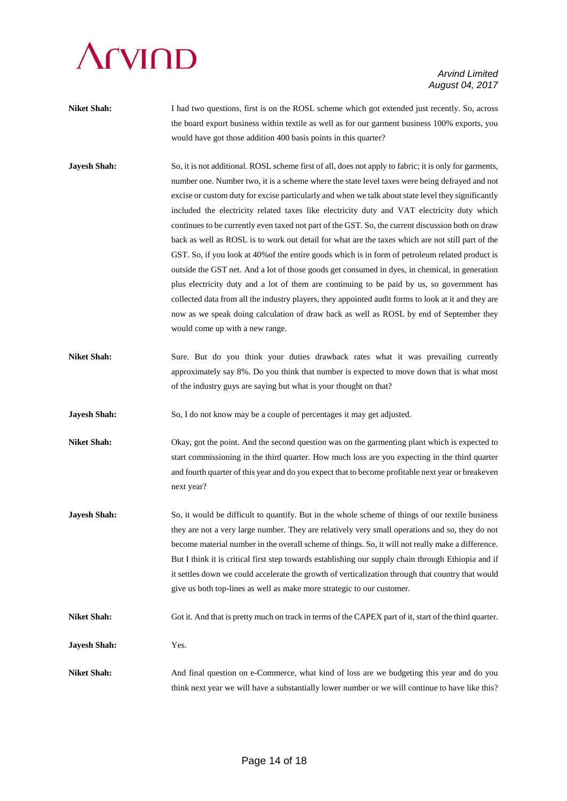# **CVIOD**

#### *Arvind Limited August 04, 2017*

- **Niket Shah:** I had two questions, first is on the ROSL scheme which got extended just recently. So, across the board export business within textile as well as for our garment business 100% exports, you would have got those addition 400 basis points in this quarter?
- **Jayesh Shah:** So, it is not additional. ROSL scheme first of all, does not apply to fabric; it is only for garments, number one. Number two, it is a scheme where the state level taxes were being defrayed and not excise or custom duty for excise particularly and when we talk about state level they significantly included the electricity related taxes like electricity duty and VAT electricity duty which continues to be currently even taxed not part of the GST. So, the current discussion both on draw back as well as ROSL is to work out detail for what are the taxes which are not still part of the GST. So, if you look at 40%of the entire goods which is in form of petroleum related product is outside the GST net. And a lot of those goods get consumed in dyes, in chemical, in generation plus electricity duty and a lot of them are continuing to be paid by us, so government has collected data from all the industry players, they appointed audit forms to look at it and they are now as we speak doing calculation of draw back as well as ROSL by end of September they would come up with a new range.
- Niket Shah: Sure. But do you think your duties drawback rates what it was prevailing currently approximately say 8%. Do you think that number is expected to move down that is what most of the industry guys are saying but what is your thought on that?

**Jayesh Shah:** So, I do not know may be a couple of percentages it may get adjusted.

**Niket Shah:** Okay, got the point. And the second question was on the garmenting plant which is expected to start commissioning in the third quarter. How much loss are you expecting in the third quarter and fourth quarter of this year and do you expect that to become profitable next year or breakeven next year?

**Jayesh Shah:** So, it would be difficult to quantify. But in the whole scheme of things of our textile business they are not a very large number. They are relatively very small operations and so, they do not become material number in the overall scheme of things. So, it will not really make a difference. But I think it is critical first step towards establishing our supply chain through Ethiopia and if it settles down we could accelerate the growth of verticalization through that country that would give us both top-lines as well as make more strategic to our customer.

**Niket Shah:** Got it. And that is pretty much on track in terms of the CAPEX part of it, start of the third quarter.

**Jayesh Shah:** Yes.

**Niket Shah:** And final question on e-Commerce, what kind of loss are we budgeting this year and do you think next year we will have a substantially lower number or we will continue to have like this?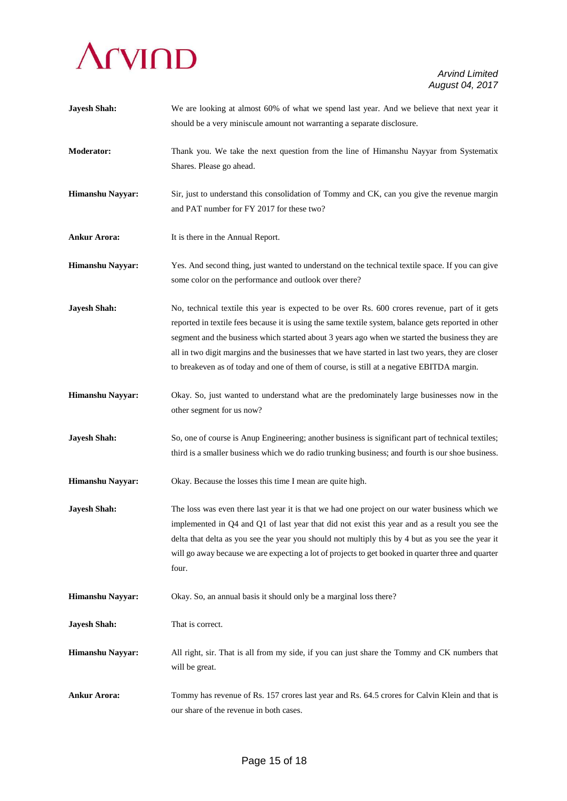

| <b>Jayesh Shah:</b>     | We are looking at almost 60% of what we spend last year. And we believe that next year it<br>should be a very miniscule amount not warranting a separate disclosure.                                                                                                                                                                                                                                                                                                                                         |
|-------------------------|--------------------------------------------------------------------------------------------------------------------------------------------------------------------------------------------------------------------------------------------------------------------------------------------------------------------------------------------------------------------------------------------------------------------------------------------------------------------------------------------------------------|
| Moderator:              | Thank you. We take the next question from the line of Himanshu Nayyar from Systematix<br>Shares. Please go ahead.                                                                                                                                                                                                                                                                                                                                                                                            |
| Himanshu Nayyar:        | Sir, just to understand this consolidation of Tommy and CK, can you give the revenue margin<br>and PAT number for FY 2017 for these two?                                                                                                                                                                                                                                                                                                                                                                     |
| <b>Ankur Arora:</b>     | It is there in the Annual Report.                                                                                                                                                                                                                                                                                                                                                                                                                                                                            |
| Himanshu Nayyar:        | Yes. And second thing, just wanted to understand on the technical textile space. If you can give<br>some color on the performance and outlook over there?                                                                                                                                                                                                                                                                                                                                                    |
| <b>Jayesh Shah:</b>     | No, technical textile this year is expected to be over Rs. 600 crores revenue, part of it gets<br>reported in textile fees because it is using the same textile system, balance gets reported in other<br>segment and the business which started about 3 years ago when we started the business they are<br>all in two digit margins and the businesses that we have started in last two years, they are closer<br>to breakeven as of today and one of them of course, is still at a negative EBITDA margin. |
| Himanshu Nayyar:        | Okay. So, just wanted to understand what are the predominately large businesses now in the<br>other segment for us now?                                                                                                                                                                                                                                                                                                                                                                                      |
| <b>Jayesh Shah:</b>     | So, one of course is Anup Engineering; another business is significant part of technical textiles;<br>third is a smaller business which we do radio trunking business; and fourth is our shoe business.                                                                                                                                                                                                                                                                                                      |
| Himanshu Nayyar:        | Okay. Because the losses this time I mean are quite high.                                                                                                                                                                                                                                                                                                                                                                                                                                                    |
| <b>Jayesh Shah:</b>     | The loss was even there last year it is that we had one project on our water business which we<br>implemented in $Q4$ and $Q1$ of last year that did not exist this year and as a result you see the<br>delta that delta as you see the year you should not multiply this by 4 but as you see the year it<br>will go away because we are expecting a lot of projects to get booked in quarter three and quarter<br>four.                                                                                     |
| Himanshu Nayyar:        | Okay. So, an annual basis it should only be a marginal loss there?                                                                                                                                                                                                                                                                                                                                                                                                                                           |
| <b>Jayesh Shah:</b>     | That is correct.                                                                                                                                                                                                                                                                                                                                                                                                                                                                                             |
| <b>Himanshu Nayyar:</b> | All right, sir. That is all from my side, if you can just share the Tommy and CK numbers that<br>will be great.                                                                                                                                                                                                                                                                                                                                                                                              |
| <b>Ankur Arora:</b>     | Tommy has revenue of Rs. 157 crores last year and Rs. 64.5 crores for Calvin Klein and that is<br>our share of the revenue in both cases.                                                                                                                                                                                                                                                                                                                                                                    |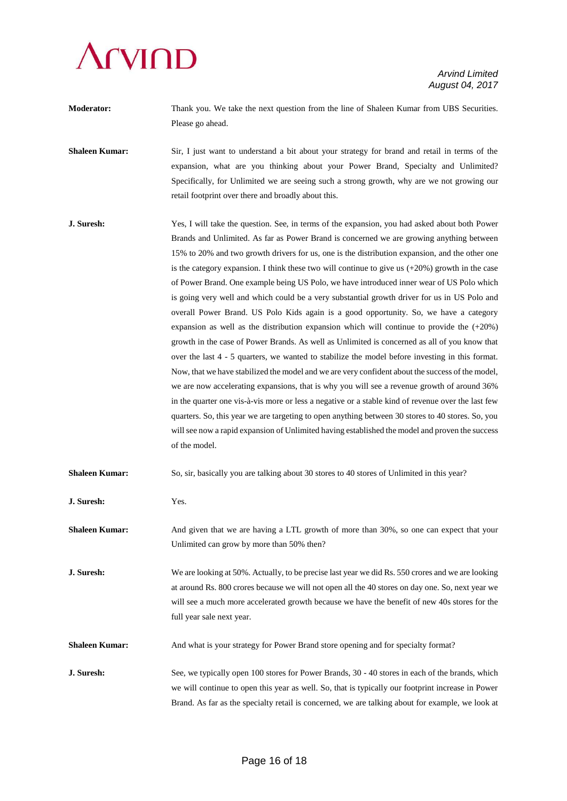

**Moderator:** Thank you. We take the next question from the line of Shaleen Kumar from UBS Securities. Please go ahead.

**Shaleen Kumar:** Sir, I just want to understand a bit about your strategy for brand and retail in terms of the expansion, what are you thinking about your Power Brand, Specialty and Unlimited? Specifically, for Unlimited we are seeing such a strong growth, why are we not growing our retail footprint over there and broadly about this.

**J. Suresh:** Yes, I will take the question. See, in terms of the expansion, you had asked about both Power Brands and Unlimited. As far as Power Brand is concerned we are growing anything between 15% to 20% and two growth drivers for us, one is the distribution expansion, and the other one is the category expansion. I think these two will continue to give us (+20%) growth in the case of Power Brand. One example being US Polo, we have introduced inner wear of US Polo which is going very well and which could be a very substantial growth driver for us in US Polo and overall Power Brand. US Polo Kids again is a good opportunity. So, we have a category expansion as well as the distribution expansion which will continue to provide the (+20%) growth in the case of Power Brands. As well as Unlimited is concerned as all of you know that over the last 4 - 5 quarters, we wanted to stabilize the model before investing in this format. Now, that we have stabilized the model and we are very confident about the success of the model, we are now accelerating expansions, that is why you will see a revenue growth of around 36% in the quarter one vis-à-vis more or less a negative or a stable kind of revenue over the last few quarters. So, this year we are targeting to open anything between 30 stores to 40 stores. So, you will see now a rapid expansion of Unlimited having established the model and proven the success of the model.

**Shaleen Kumar:** So, sir, basically you are talking about 30 stores to 40 stores of Unlimited in this year?

**J. Suresh:** Yes.

**Shaleen Kumar:** And given that we are having a LTL growth of more than 30%, so one can expect that your Unlimited can grow by more than 50% then?

**J. Suresh:** We are looking at 50%. Actually, to be precise last year we did Rs. 550 crores and we are looking at around Rs. 800 crores because we will not open all the 40 stores on day one. So, next year we will see a much more accelerated growth because we have the benefit of new 40s stores for the full year sale next year.

**Shaleen Kumar:** And what is your strategy for Power Brand store opening and for specialty format?

**J. Suresh:** See, we typically open 100 stores for Power Brands, 30 - 40 stores in each of the brands, which we will continue to open this year as well. So, that is typically our footprint increase in Power Brand. As far as the specialty retail is concerned, we are talking about for example, we look at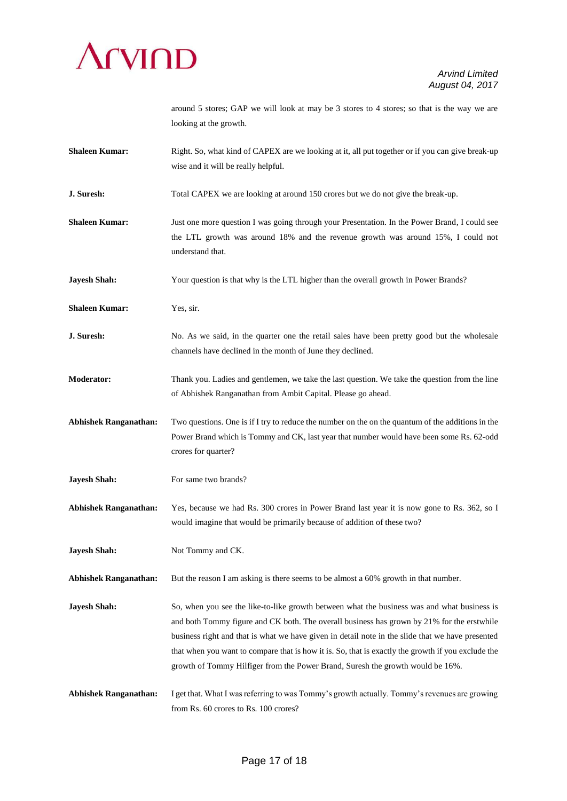

around 5 stores; GAP we will look at may be 3 stores to 4 stores; so that is the way we are looking at the growth.

- **Shaleen Kumar:** Right. So, what kind of CAPEX are we looking at it, all put together or if you can give break-up wise and it will be really helpful.
- **J. Suresh:** Total CAPEX we are looking at around 150 crores but we do not give the break-up.
- **Shaleen Kumar:** Just one more question I was going through your Presentation. In the Power Brand, I could see the LTL growth was around 18% and the revenue growth was around 15%, I could not understand that.
- **Jayesh Shah:** Your question is that why is the LTL higher than the overall growth in Power Brands?
- **Shaleen Kumar:** Yes, sir.
- **J. Suresh:** No. As we said, in the quarter one the retail sales have been pretty good but the wholesale channels have declined in the month of June they declined.
- **Moderator:** Thank you. Ladies and gentlemen, we take the last question. We take the question from the line of Abhishek Ranganathan from Ambit Capital. Please go ahead.
- **Abhishek Ranganathan:** Two questions. One is if I try to reduce the number on the on the quantum of the additions in the Power Brand which is Tommy and CK, last year that number would have been some Rs. 62-odd crores for quarter?
- **Jayesh Shah:** For same two brands?
- **Abhishek Ranganathan:** Yes, because we had Rs. 300 crores in Power Brand last year it is now gone to Rs. 362, so I would imagine that would be primarily because of addition of these two?
- **Jayesh Shah:** Not Tommy and CK.
- **Abhishek Ranganathan:** But the reason I am asking is there seems to be almost a 60% growth in that number.
- **Jayesh Shah:** So, when you see the like-to-like growth between what the business was and what business is and both Tommy figure and CK both. The overall business has grown by 21% for the erstwhile business right and that is what we have given in detail note in the slide that we have presented that when you want to compare that is how it is. So, that is exactly the growth if you exclude the growth of Tommy Hilfiger from the Power Brand, Suresh the growth would be 16%.
- **Abhishek Ranganathan:** I get that. What I was referring to was Tommy's growth actually. Tommy's revenues are growing from Rs. 60 crores to Rs. 100 crores?